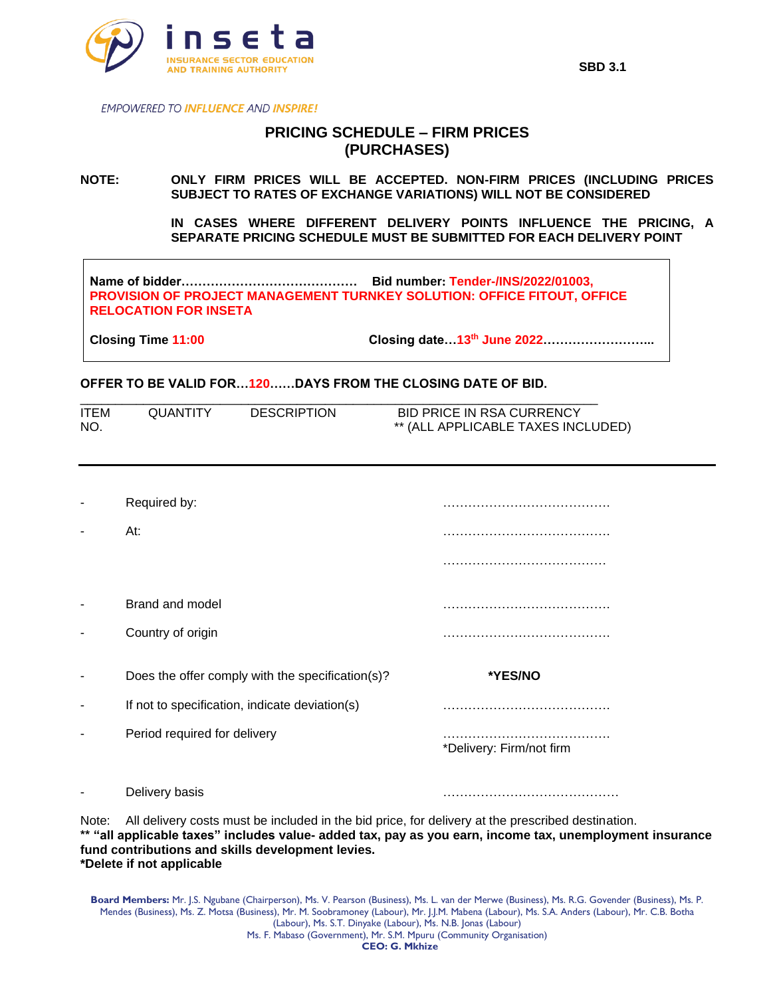

**EMPOWERED TO INFLUENCE AND INSPIRE!** 

## **PRICING SCHEDULE – FIRM PRICES (PURCHASES)**

## **NOTE: ONLY FIRM PRICES WILL BE ACCEPTED. NON-FIRM PRICES (INCLUDING PRICES SUBJECT TO RATES OF EXCHANGE VARIATIONS) WILL NOT BE CONSIDERED**

**IN CASES WHERE DIFFERENT DELIVERY POINTS INFLUENCE THE PRICING, A SEPARATE PRICING SCHEDULE MUST BE SUBMITTED FOR EACH DELIVERY POINT** 

**Name of bidder…………………………………… Bid number: Tender-/INS/2022/01003, PROVISION OF PROJECT MANAGEMENT TURNKEY SOLUTION: OFFICE FITOUT, OFFICE RELOCATION FOR INSETA**

**Closing Time 11:00 Closing date…13th June 2022……………………...**

## **OFFER TO BE VALID FOR…120……DAYS FROM THE CLOSING DATE OF BID.**

| <b>ITEM</b> | <b>QUANTITY</b> | <b>DESCRIPTION</b> | BID PRICE IN RSA CURRENCY          |
|-------------|-----------------|--------------------|------------------------------------|
| <b>NO</b>   |                 |                    | ** (ALL APPLICABLE TAXES INCLUDED) |

|   | Required by:<br>At:                              |                          |
|---|--------------------------------------------------|--------------------------|
|   |                                                  |                          |
| ٠ | Brand and model                                  |                          |
|   | Country of origin                                |                          |
|   |                                                  |                          |
|   | Does the offer comply with the specification(s)? | *YES/NO                  |
| - | If not to specification, indicate deviation(s)   |                          |
|   | Period required for delivery                     | *Delivery: Firm/not firm |

Note: All delivery costs must be included in the bid price, for delivery at the prescribed destination. **\*\* "all applicable taxes" includes value- added tax, pay as you earn, income tax, unemployment insurance fund contributions and skills development levies. \*Delete if not applicable**